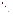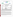# **THE ENVIRONMENTAL TECHNOLOGY VERIFICATION**







# **ETV Joint Verification Statement**

| <b>TECHNOLOGY TYPE:</b>              | <b>AMBIENT AMMONIA MONITOR</b>                                                                            |  |
|--------------------------------------|-----------------------------------------------------------------------------------------------------------|--|
| <b>APPLICATION:</b>                  | <b>MEASURING AMMONIA EMISSIONS AT ANIMAL</b><br><b>FEEDING OPERATIONS</b>                                 |  |
|                                      | TECHNOLOGY NAME: TGA310 Ammonia Analyzer                                                                  |  |
| <b>COMPANY:</b>                      | <b>Omnisens SA</b>                                                                                        |  |
| <b>ADDRESS:</b>                      | Parc Scientifique d'Ecublens PHONE: +41 216938486<br>1015 Lausanne<br>+41 12742031<br>FAX:<br>Switzerland |  |
| <b>WEB SITE:</b><br>$E\text{-}MAIL:$ | http://www.omnisens.ch/<br>info@omnisens.ch                                                               |  |

The U.S. Environmental Protection Agency (EPA) supports the Environmental Technology Verification (ETV) Program to facilitate the deployment of innovative or improved environmental technologies through performance verification and dissemination of information. The goal of the ETV Program is to further environmental protection by accelerating the acceptance and use of improved and cost-effective technologies. ETV seeks to achieve this goal by providing high-quality, peer-reviewed data on technology performance to those involved in the design, distribution, financing, permitting, purchase, and use of environmental technologies. Information and ETV documents are available at www.epa.gov/etv.

ETV works in partnership with recognized standards and testing organizations, with stakeholder groups (consisting of buyers, vendor organizations, and permitters), and with individual technology developers. The program evaluates the performance of innovative technologies by developing test plans that are responsive to the needs of stakeholders, conducting field or laboratory tests (as appropriate), collecting and analyzing data, and preparing peer-reviewed reports. All evaluations are conducted in accordance with rigorous quality assurance (QA) protocols to ensure that data of known and adequate quality are generated and that the results are defensible.

The Advanced Monitoring Systems (AMS) Center, one of seven technology areas under ETV, is operated by Battelle in cooperation with EPA's National Exposure Research Laboratory. In collaboration with the U.S. Department of Agriculture, the AMS Center has recently evaluated the performance of ambient ammonia  $(NH_3)$ monitors to measure NH<sub>3</sub> emissions. This verification statement provides a summary of the test results for the Omnisens TGA300 Series Model TGA310 NH<sub>3</sub> analyzer.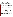### **VERIFICATION TEST DESCRIPTION**

The objective of this verification test was to evaluate the TGA310's performance in measuring gaseous  $NH_3$  in ambient air at two animal feeding operations. The verification test was conducted in two phases, each at separate animal feeding operations; the TGA310 was not available for testing during Phase I and was tested at only one animal feeding operation during Phase II. The second phase of testing was conducted between October 20 and November 14, 2003, at a cattle feedlot in Carroll, Iowa. These sites were selected to provide realistic testing conditions and were expected to exhibit a wide range of  $NH<sub>3</sub>$  concentrations during the test periods. The verification test was designed to evaluate relative accuracy (RA), linearity, precision, response time, calibration and zero drift, interference effects, comparability, ease of use, and data completeness.

During Phase II of the verification test, the TGA310 response to a series of  $NH_3$  gas standards of known concentration was used to quantify RA, linearity, precision, and calibration/zero drift.  $NH<sub>3</sub>$  gas standards ranging from 0 to 2,000 parts per billion (ppb)  $NH_3$  were delivered during Phase II. The TGA310 response time, the time to reach 95% of the change in the stable signal, was also assessed during the delivery of the gas standards. Interference effects were quantified from the TGA310 response to various chemical species that may be present at animal feeding operations; the potential interferent gases were delivered both in the presence and absence of  $NH<sub>3</sub>$ . The TGA310 continuous response to ambient air also was evaluated during Phase II as the comparability to simultaneous determinations by a time-integrated ambient  $NH<sub>3</sub>$  reference method (acid-coated denuders). Comparisons were made with reference samples that were collected on a five-per-day schedule for periods of between 2 to 12 hours for approximately 10 days during each phase, based on procedures in EPA Method IO-4.2.

QA oversight of verification testing was provided by Battelle and EPA. Battelle QA staff conducted a technical systems audit, a performance evaluation audit, and a data quality audit of 10% of the test data. This verification statement, the full report on which it is based, and the test/QA plan for this verification test are all available at www.epa.gov/etv/centers/certer1.html.

## **TECHNOLOGY DESCRIPTION**

The following description of the TGA310 was provided by the vendor and does not represent verified information.

The TGA310 is a trace gas analyzer that uses photoacoustic spectroscopy to measure  $NH<sub>3</sub>$  concentrations in the atmosphere. In photoacoustic spectroscopy, absorbed infrared energy generates a temperature increase and an associated pressure increase, resulting in an acoustic wave that can be detected with a microphone. Sound intensity is directly proportional to the gas concentration. The amount of absorbed energy is determined by measuring the photoacoustic signal. In the TGA310, the light from a modulated carbon dioxide laser, with a wavelength coinciding with the wavelength of NH<sub>3</sub>, travels through a photoacoustic sensing cell, through which ambient  $NH<sub>3</sub>$  is continuously sampled. The TGA310 has a 0.1-ppb detection limit and allows real-time continuous detection. Monitoring is possible at air flow rates up to 5 liters per minute (Lpm). The TGA310 features a graphical user interface. A built-in personal computer (PC) incorporates a touch-screen display, and the measured  $NH<sub>3</sub>$  concentration is highlighted on a real-time basis. The evolution of  $NH<sub>3</sub>$  concentration is displayed on a chart and can be checked at any time for long-term trends analysis. The user gets an immediate view of the trend by checking the displayed concentration curves. Measurement data are automatically stored in a designated file, allowing unattended measurements. Historical data can be retrieved remotely from the disk for data analysis. Calibration data are stored on the built-in disk drive, and default values can be retrieved at any time. Events such as run up and run down times, alarms, system messages, and setup modifications are stored in a log file. The TGA310 requires 600 Watts of power from 110/230 volts alternating current. Its dimensions are 600 millimeters (mm) by 600 mm by 210 mm, excluding the PC, and it weighs less than 70 kilograms. The TGA310 costs \$42,000.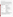#### **VERIFICATION OF PERFORMANCE**

The performance of the TGA310 was evaluated during Phase II of this verification test. The TGA310 was installed inside a temperature-regulated instrument trailer, with a Teflon tube used to draw the outside air into the TGA310 inlet. The following presents a summary of the performance of the TGA310 during this verification test. During testing, the TGA310 was set to collect 3-second average readings. For data logging purposes, a parameter (deltaConc) can be set to optimize the number of points recorded in the database (optimize the database size). This parameter is a percentage of the difference between two recorded points and was set to 1% for this verification test. Therefore, if the difference was greater than "deltaConc," the value was recorded in the database; whereas, if the difference was lower than "deltaConc," the value was not recorded. The values presented here are based on the data recorded with these settings. Values in parentheses are 95% confidence intervals.

| <b>Parameter</b>                          | <b>Phase I</b>                             | <b>Phase II</b>                                                                                                                                                                                                                                                                         |
|-------------------------------------------|--------------------------------------------|-----------------------------------------------------------------------------------------------------------------------------------------------------------------------------------------------------------------------------------------------------------------------------------------|
| Relative accuracy <sup>(a)(b)</sup>       | The TGA310 was not<br>available in Phase I | Average $RA = 2.2\%$<br>Percent difference range $= -2.9$ to 2.5 %                                                                                                                                                                                                                      |
| Linearity <sup>(a)</sup>                  |                                            | Range = 0 to 2,000 ppb $NH_3$<br>Slope = $0.966 \ (\pm 0.031)$<br>Intercept = 15.9 ppb $(\pm 31.9)$<br>$r^2 = 1.000$                                                                                                                                                                    |
| Precision <sup>(a)</sup>                  |                                            | Average relative standard deviation $= 0.9\%$<br>Range = $0.4$ to 1.2%                                                                                                                                                                                                                  |
| Response time <sup>(a)</sup>              |                                            | Rise time = $126$ to $156$ seconds (1 Lpm flow rate)<br>Fall time $= 124$ to 169 seconds (1 Lpm flow rate)                                                                                                                                                                              |
| Calibration/<br>zero drift <sup>(a)</sup> |                                            | No apparent drift in response to zero air.<br>$\bullet$<br>Response to $1,000$ -ppb NH <sub>3</sub> gas standard increased by 81 ppb<br>between Tuesday and Friday of Week 1. An increase of 55 ppb was<br>observed between Monday and Friday of Week 4.                                |
| Interference<br>effects <sup>(a)(c)</sup> |                                            | Hydrogen sulfide (461 ppb): no apparent effect<br>$\bullet$<br>Nitrogen dioxide (154 ppb): no apparent effect<br>1,3-Butadiene (154 ppb): increase of 24% in zero air and 22% in<br>500 ppb $NH3$<br>Diethylamine (155 ppb): increase of 28% in zero air and 20% in 500<br>ppb $NH3(d)$ |
| Comparability                             |                                            | Slope = $1.15 \ (\pm 0.04)$<br>Intercept = -4.1 ppb $(\pm 3.6)$<br>$r^2 = 0.994$                                                                                                                                                                                                        |
| Ease of use                               |                                            | • Daily checks were simple and quick<br>• Little skill required to operate<br>• No data download necessary<br>• No maintenance required<br>• Loss of approximately 29 hours of data resulting from apparent<br>computer-related failures                                                |
| Data completeness                         |                                            | $\overline{91\%}^{(e)}$ $(87\%)$ <sup>(f)</sup>                                                                                                                                                                                                                                         |

#### **Performance Summary of the TGA310**

(a) Frequency and phase instability warnings and alarms sounded on the TGA310 during 16% of the gas standard delivery periods when gas standards were supplied by the NH<sub>3</sub> dilution system. Warnings were probably caused by small fluctuations in the gas standard flow rate.

(b) Relative accuracy is expressed as an average absolute value of the percent difference from  $NH_3$  gas standards.<br>(c) Calculated as the change in signal divided by the interferent gas concentration, expressed as a perce

(c) Calculated as the change in signal divided by the interferent gas concentration, expressed as a percentage.<br>(d) Independent tests indicate that the diethylamine ass standard contained some NH as an impurity in the ga

Independent tests indicate that the diethylamine gas standard contained some  $NH<sub>3</sub>$  as an impurity in the gas standard or as a result of displacement from the tubing walls. Thus, the measured interference was at least partially due to the  $NH<sub>3</sub>$  impurity.

(e) Data loss of 51 hours attributable to computer-related failures.<br>(f) The TGA310 was installed 30 hours after the start of Phase II.

The TGA310 was installed 30 hours after the start of Phase II. If this time is considered, the TGA310 experienced 87% data completeness.